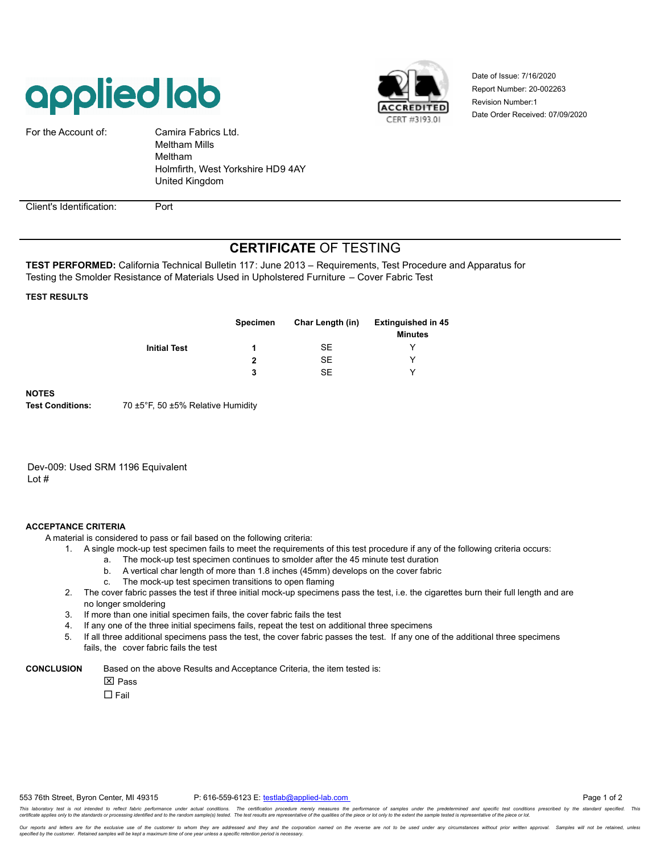



Report Number: 20-002263 Date Order Received: 07/09/2020 Revision Number:1 Date of Issue: 7/16/2020

| For the Account of:      | Camira Fabrics Ltd.<br><b>Meltham Mills</b><br>Meltham<br>Holmfirth, West Yorkshire HD9 4AY<br>United Kingdom |
|--------------------------|---------------------------------------------------------------------------------------------------------------|
|                          |                                                                                                               |
| Client's Identification: | Port                                                                                                          |

## **CERTIFICATE** OF TESTING

**TEST PERFORMED:** California Technical Bulletin 117: June 2013 – Requirements, Test Procedure and Apparatus for Testing the Smolder Resistance of Materials Used in Upholstered Furniture – Cover Fabric Test

## **TEST RESULTS**

|                     | <b>Specimen</b> | Char Length (in) | <b>Extinguished in 45</b><br><b>Minutes</b> |
|---------------------|-----------------|------------------|---------------------------------------------|
| <b>Initial Test</b> |                 | SE               |                                             |
|                     | 2               | <b>SE</b>        | ∨                                           |
|                     | 3               | SE               | v                                           |

## **NOTES**

**Test Conditions:** 70 ±5°F, 50 ±5% Relative Humidity

Dev-009: Used SRM 1196 Equivalent Lot #

## **ACCEPTANCE CRITERIA**

A material is considered to pass or fail based on the following criteria:

- 1. A single mock-up test specimen fails to meet the requirements of this test procedure if any of the following criteria occurs:
	- a. The mock-up test specimen continues to smolder after the 45 minute test duration
	- b. A vertical char length of more than 1.8 inches (45mm) develops on the cover fabric
	- c. The mock-up test specimen transitions to open flaming
- 2. The cover fabric passes the test if three initial mock-up specimens pass the test, i.e. the cigarettes burn their full length and are no longer smoldering
- 3. If more than one initial specimen fails, the cover fabric fails the test
- 4. If any one of the three initial specimens fails, repeat the test on additional three specimens
- 5. If all three additional specimens pass the test, the cover fabric passes the test. If any one of the additional three specimens fails, the cover fabric fails the test

**CONCLUSION** Based on the above Results and Acceptance Criteria, the item tested is:

**X** Pass

 $\Box$  Fail

Our reports and letters are for the exclusive use of the customer to whom they are addressed and they and the corporation named on the reverse are not to be used under any circumstances without prior written approval. Samp *specified by the customer. Retained samples will be kept a maximum time of one year unless a specific retention period is necessary.*